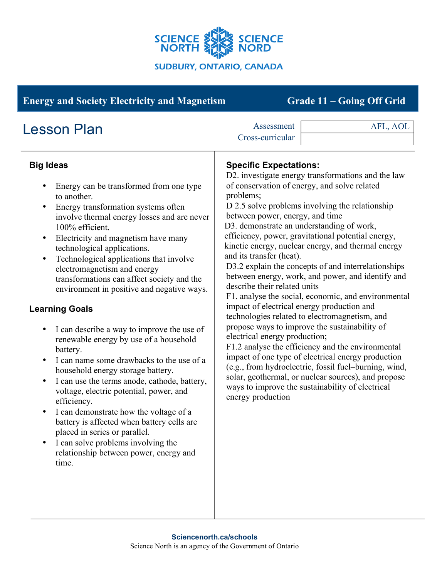

| <b>Energy and Society Electricity and Magnetism</b><br>Grade 11 - Going Off Grid                                                                                                                                                                                                                                                                                                                                                                                                                                                                                                                                                                                                                                                                                                                                                                                                                                                                                                                                                                 |                                                                                                                                                                                                                                                                                            |                                                                                                                                                                                                                                                                                                                                                                                                                                                                                                                                                                                                                                                                                                                                                                                                                       |
|--------------------------------------------------------------------------------------------------------------------------------------------------------------------------------------------------------------------------------------------------------------------------------------------------------------------------------------------------------------------------------------------------------------------------------------------------------------------------------------------------------------------------------------------------------------------------------------------------------------------------------------------------------------------------------------------------------------------------------------------------------------------------------------------------------------------------------------------------------------------------------------------------------------------------------------------------------------------------------------------------------------------------------------------------|--------------------------------------------------------------------------------------------------------------------------------------------------------------------------------------------------------------------------------------------------------------------------------------------|-----------------------------------------------------------------------------------------------------------------------------------------------------------------------------------------------------------------------------------------------------------------------------------------------------------------------------------------------------------------------------------------------------------------------------------------------------------------------------------------------------------------------------------------------------------------------------------------------------------------------------------------------------------------------------------------------------------------------------------------------------------------------------------------------------------------------|
| <b>Lesson Plan</b>                                                                                                                                                                                                                                                                                                                                                                                                                                                                                                                                                                                                                                                                                                                                                                                                                                                                                                                                                                                                                               | Assessment<br>Cross-curricular                                                                                                                                                                                                                                                             | AFL, AOL                                                                                                                                                                                                                                                                                                                                                                                                                                                                                                                                                                                                                                                                                                                                                                                                              |
| <b>Big Ideas</b><br>Energy can be transformed from one type<br>٠<br>to another.<br>Energy transformation systems often<br>$\bullet$<br>involve thermal energy losses and are never<br>100% efficient.<br>Electricity and magnetism have many<br>$\bullet$<br>technological applications.<br>Technological applications that involve<br>electromagnetism and energy<br>transformations can affect society and the<br>environment in positive and negative ways.<br><b>Learning Goals</b><br>I can describe a way to improve the use of<br>$\bullet$<br>renewable energy by use of a household<br>battery.<br>I can name some drawbacks to the use of a<br>$\bullet$<br>household energy storage battery.<br>I can use the terms anode, cathode, battery,<br>$\bullet$<br>voltage, electric potential, power, and<br>efficiency.<br>I can demonstrate how the voltage of a<br>battery is affected when battery cells are<br>placed in series or parallel.<br>I can solve problems involving the<br>relationship between power, energy and<br>time. | <b>Specific Expectations:</b><br>problems;<br>between power, energy, and time<br>D3. demonstrate an understanding of work,<br>and its transfer (heat).<br>describe their related units<br>impact of electrical energy production and<br>electrical energy production;<br>energy production | D2. investigate energy transformations and the law<br>of conservation of energy, and solve related<br>D 2.5 solve problems involving the relationship<br>efficiency, power, gravitational potential energy,<br>kinetic energy, nuclear energy, and thermal energy<br>D3.2 explain the concepts of and interrelationships<br>between energy, work, and power, and identify and<br>F1. analyse the social, economic, and environmental<br>technologies related to electromagnetism, and<br>propose ways to improve the sustainability of<br>F1.2 analyse the efficiency and the environmental<br>impact of one type of electrical energy production<br>(e.g., from hydroelectric, fossil fuel-burning, wind,<br>solar, geothermal, or nuclear sources), and propose<br>ways to improve the sustainability of electrical |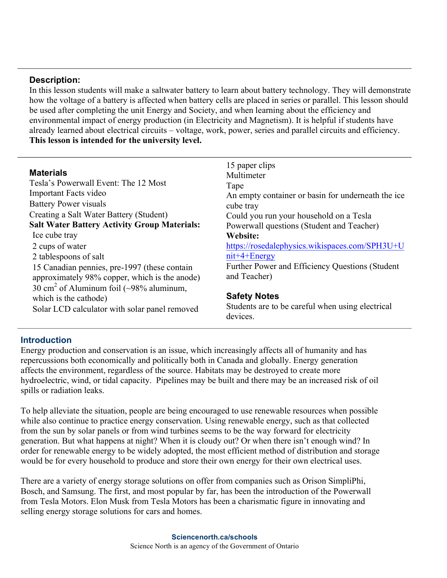### **Description:**

In this lesson students will make a saltwater battery to learn about battery technology. They will demonstrate how the voltage of a battery is affected when battery cells are placed in series or parallel. This lesson should be used after completing the unit Energy and Society, and when learning about the efficiency and environmental impact of energy production (in Electricity and Magnetism). It is helpful if students have already learned about electrical circuits – voltage, work, power, series and parallel circuits and efficiency. **This lesson is intended for the university level.**

| An empty container or basin for underneath the ice |
|----------------------------------------------------|
|                                                    |
| Could you run your household on a Tesla            |
| Powerwall questions (Student and Teacher)          |
|                                                    |
| https://rosedalephysics.wikispaces.com/SPH3U+U     |
| $nit+4+Energy$                                     |
| Further Power and Efficiency Questions (Student    |
| and Teacher)                                       |
|                                                    |
| <b>Safety Notes</b>                                |
| Students are to be careful when using electrical   |
|                                                    |

### **Introduction**

Energy production and conservation is an issue, which increasingly affects all of humanity and has repercussions both economically and politically both in Canada and globally. Energy generation affects the environment, regardless of the source. Habitats may be destroyed to create more hydroelectric, wind, or tidal capacity. Pipelines may be built and there may be an increased risk of oil spills or radiation leaks.

To help alleviate the situation, people are being encouraged to use renewable resources when possible while also continue to practice energy conservation. Using renewable energy, such as that collected from the sun by solar panels or from wind turbines seems to be the way forward for electricity generation. But what happens at night? When it is cloudy out? Or when there isn't enough wind? In order for renewable energy to be widely adopted, the most efficient method of distribution and storage would be for every household to produce and store their own energy for their own electrical uses.

There are a variety of energy storage solutions on offer from companies such as Orison SimpliPhi, Bosch, and Samsung. The first, and most popular by far, has been the introduction of the Powerwall from Tesla Motors. Elon Musk from Tesla Motors has been a charismatic figure in innovating and selling energy storage solutions for cars and homes.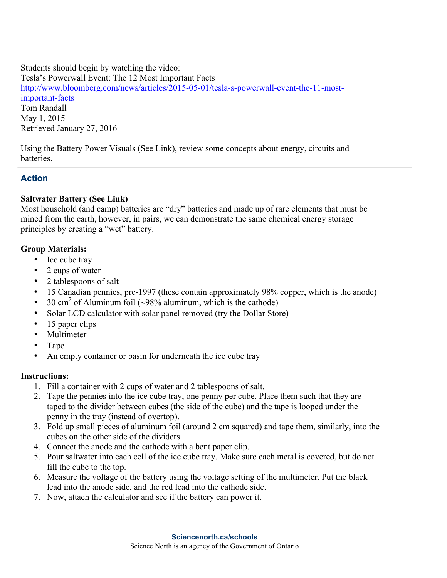Students should begin by watching the video: Tesla's Powerwall Event: The 12 Most Important Facts http://www.bloomberg.com/news/articles/2015-05-01/tesla-s-powerwall-event-the-11-mostimportant-facts Tom Randall

May 1, 2015 Retrieved January 27, 2016

Using the Battery Power Visuals (See Link), review some concepts about energy, circuits and batteries.

# **Action**

## **Saltwater Battery (See Link)**

Most household (and camp) batteries are "dry" batteries and made up of rare elements that must be mined from the earth, however, in pairs, we can demonstrate the same chemical energy storage principles by creating a "wet" battery.

## **Group Materials:**

- Ice cube tray
- 2 cups of water
- 2 tablespoons of salt
- 15 Canadian pennies, pre-1997 (these contain approximately 98% copper, which is the anode)
- 30 cm<sup>2</sup> of Aluminum foil  $(\sim 98\%$  aluminum, which is the cathode)
- Solar LCD calculator with solar panel removed (try the Dollar Store)
- 15 paper clips
- Multimeter
- Tape
- An empty container or basin for underneath the ice cube tray

## **Instructions:**

- 1. Fill a container with 2 cups of water and 2 tablespoons of salt.
- 2. Tape the pennies into the ice cube tray, one penny per cube. Place them such that they are taped to the divider between cubes (the side of the cube) and the tape is looped under the penny in the tray (instead of overtop).
- 3. Fold up small pieces of aluminum foil (around 2 cm squared) and tape them, similarly, into the cubes on the other side of the dividers.
- 4. Connect the anode and the cathode with a bent paper clip.
- 5. Pour saltwater into each cell of the ice cube tray. Make sure each metal is covered, but do not fill the cube to the top.
- 6. Measure the voltage of the battery using the voltage setting of the multimeter. Put the black lead into the anode side, and the red lead into the cathode side.
- 7. Now, attach the calculator and see if the battery can power it.